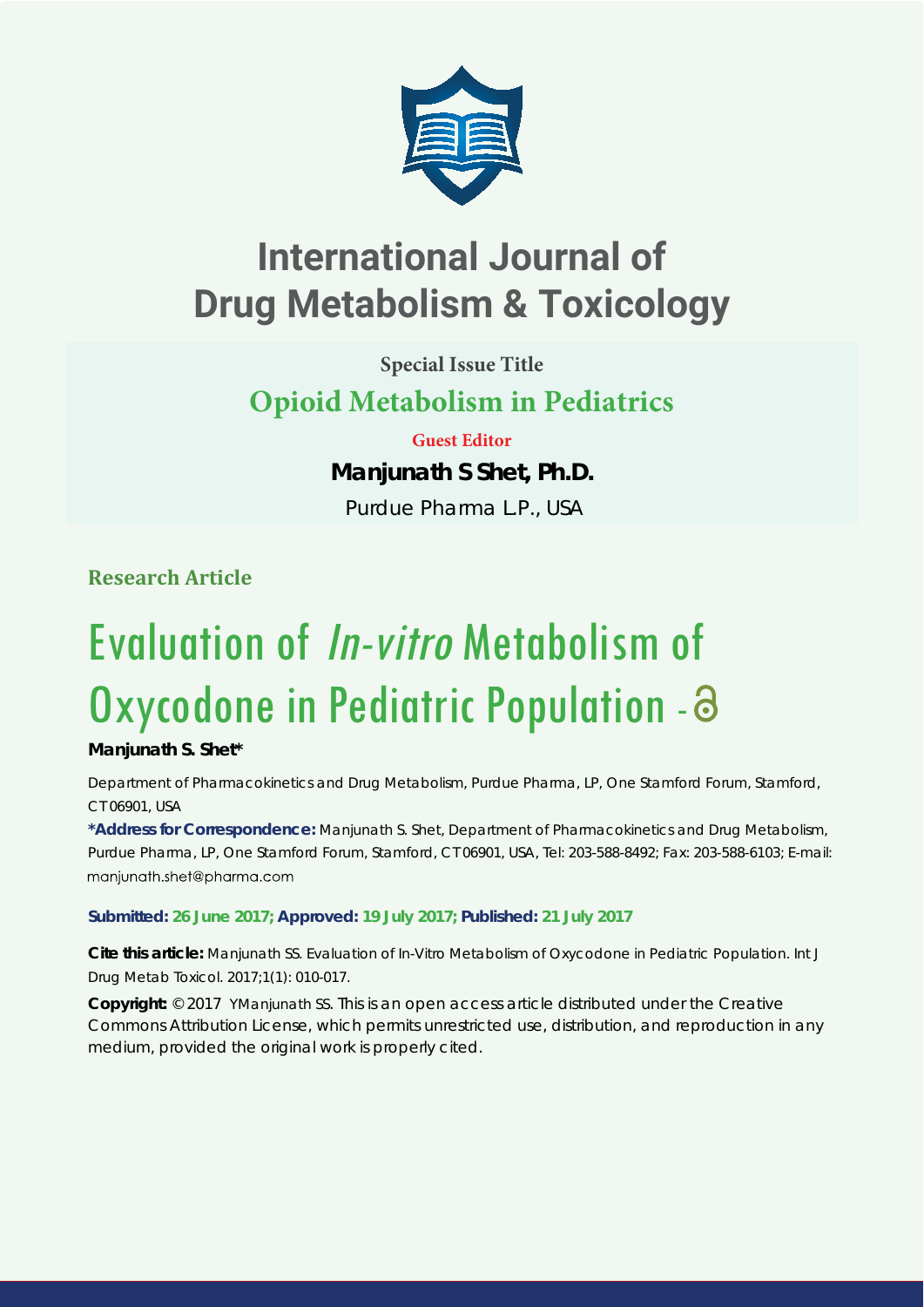

# **International Journal of Drug Metabolism & Toxicology**

**Special Issue Title**

# **Opioid Metabolism in Pediatrics**

## **Guest Editor**

## **Manjunath S Shet, Ph.D.**

Purdue Pharma L.P., USA

**Research Article**

# Evaluation of In-vitro Metabolism of Oxycodone in Pediatric Population -

### **Manjunath S. Shet\***

*Department of Pharmacokinetics and Drug Metabolism, Purdue Pharma, LP, One Stamford Forum, Stamford, CT 06901, USA*

**\*Address for Correspondence:** Manjunath S. Shet, Department of Pharmacokinetics and Drug Metabolism, Purdue Pharma, LP, One Stamford Forum, Stamford, CT 06901, USA, Tel: 203-588-8492; Fax: 203-588-6103; E-mail: maniunath.shet@pharma.com

**Submitted: 26 June 2017; Approved: 19 July 2017; Published: 21 July 2017**

**Cite this article:** Manjunath SS. Evaluation of In-Vitro Metabolism of Oxycodone in Pediatric Population. Int J Drug Metab Toxicol. 2017;1(1): 010-017.

**Copyright:** © 2017 YManjunath SS. This is an open access article distributed under the Creative Commons Attribution License, which permits unrestricted use, distribution, and reproduction in any medium, provided the original work is properly cited.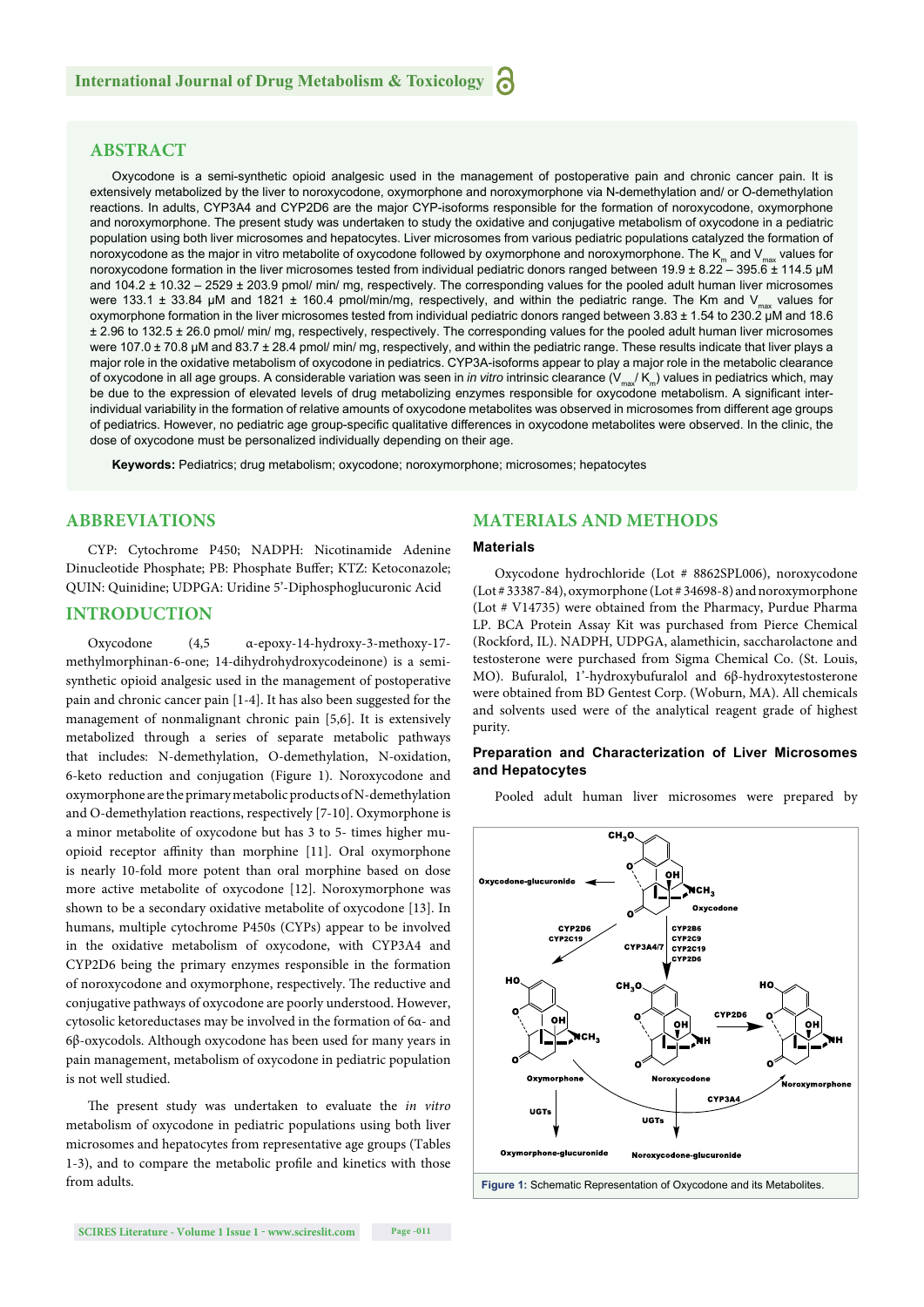#### **ABSTRACT**

Oxycodone is a semi-synthetic opioid analgesic used in the management of postoperative pain and chronic cancer pain. It is extensively metabolized by the liver to noroxycodone, oxymorphone and noroxymorphone via N-demethylation and/ or O-demethylation reactions. In adults, CYP3A4 and CYP2D6 are the major CYP-isoforms responsible for the formation of noroxycodone, oxymorphone and noroxymorphone. The present study was undertaken to study the oxidative and conjugative metabolism of oxycodone in a pediatric population using both liver microsomes and hepatocytes. Liver microsomes from various pediatric populations catalyzed the formation of noroxycodone as the major in vitro metabolite of oxycodone followed by oxymorphone and noroxymorphone. The  $K_m$  and  $V_{max}$  values for noroxycodone formation in the liver microsomes tested from individual pediatric donors ranged between 19.9 ± 8.22 – 395.6 ± 114.5 μM and 104.2 ± 10.32 – 2529 ± 203.9 pmol/ min/ mg, respectively. The corresponding values for the pooled adult human liver microsomes were 133.1  $\pm$  33.84 µM and 1821  $\pm$  160.4 pmol/min/mg, respectively, and within the pediatric range. The Km and V<sub>max</sub> values for oxymorphone formation in the liver microsomes tested from individual pediatric donors ranged between 3.83 ± 1.54 to 230.2 μM and 18.6 ± 2.96 to 132.5 ± 26.0 pmol/ min/ mg, respectively, respectively. The corresponding values for the pooled adult human liver microsomes were 107.0 ± 70.8 μM and 83.7 ± 28.4 pmol/ min/ mg, respectively, and within the pediatric range. These results indicate that liver plays a major role in the oxidative metabolism of oxycodone in pediatrics. CYP3A-isoforms appear to play a major role in the metabolic clearance of oxycodone in all age groups. A considerable variation was seen in *in vitro* intrinsic clearance (V<sub>ma</sub>/ K<sub>m</sub>) values in pediatrics which, may be due to the expression of elevated levels of drug metabolizing enzymes responsible for oxycodone metabolism. A significant interindividual variability in the formation of relative amounts of oxycodone metabolites was observed in microsomes from different age groups of pediatrics. However, no pediatric age group-specific qualitative differences in oxycodone metabolites were observed. In the clinic, the dose of oxycodone must be personalized individually depending on their age.

**Keywords:** Pediatrics; drug metabolism; oxycodone; noroxymorphone; microsomes; hepatocytes

#### **ABBREVIATIONS**

CYP: Cytochrome P450; NADPH: Nicotinamide Adenine Dinucleotide Phosphate; PB: Phosphate Buffer; KTZ: Ketoconazole; QUIN: Quinidine; UDPGA: Uridine 5'-Diphosphoglucuronic Acid

#### **INTRODUCTION**

Oxycodone (4,5 α-epoxy-14-hydroxy-3-methoxy-17 methylmorphinan-6-one; 14-dihydrohydroxycodeinone) is a semisynthetic opioid analgesic used in the management of postoperative pain and chronic cancer pain [1-4]. It has also been suggested for the management of nonmalignant chronic pain [5,6]. It is extensively metabolized through a series of separate metabolic pathways that includes: N-demethylation, O-demethylation, N-oxidation, 6-keto reduction and conjugation (Figure 1). Noroxycodone and oxymorphone are the primary metabolic products of N-demethylation and O-demethylation reactions, respectively [7-10]. Oxymorphone is a minor metabolite of oxycodone but has 3 to 5- times higher muopioid receptor affinity than morphine [11]. Oral oxymorphone is nearly 10-fold more potent than oral morphine based on dose more active metabolite of oxycodone [12]. Noroxymorphone was shown to be a secondary oxidative metabolite of oxycodone [13]. In humans, multiple cytochrome P450s (CYPs) appear to be involved in the oxidative metabolism of oxycodone, with CYP3A4 and CYP2D6 being the primary enzymes responsible in the formation of noroxycodone and oxymorphone, respectively. The reductive and conjugative pathways of oxycodone are poorly understood. However, cytosolic ketoreductases may be involved in the formation of 6α- and 6β-oxycodols. Although oxycodone has been used for many years in pain management, metabolism of oxycodone in pediatric population is not well studied.

The present study was undertaken to evaluate the *in vitro* metabolism of oxycodone in pediatric populations using both liver microsomes and hepatocytes from representative age groups (Tables 1-3), and to compare the metabolic profile and kinetics with those from adults.

#### **MATERIALS AND METHODS**

#### **Materials**

Oxycodone hydrochloride (Lot # 8862SPL006), noroxycodone (Lot # 33387-84), oxymorphone (Lot # 34698-8) and noroxymorphone (Lot # V14735) were obtained from the Pharmacy, Purdue Pharma LP. BCA Protein Assay Kit was purchased from Pierce Chemical (Rockford, IL). NADPH, UDPGA, alamethicin, saccharolactone and testosterone were purchased from Sigma Chemical Co. (St. Louis, MO). Bufuralol, 1'-hydroxybufuralol and 6β-hydroxytestosterone were obtained from BD Gentest Corp. (Woburn, MA). All chemicals and solvents used were of the analytical reagent grade of highest purity.

#### **Preparation and Characterization of Liver Microsomes and Hepatocytes**

Pooled adult human liver microsomes were prepared by



**Figure 1:** Schematic Representation of Oxycodone and its Metabolites.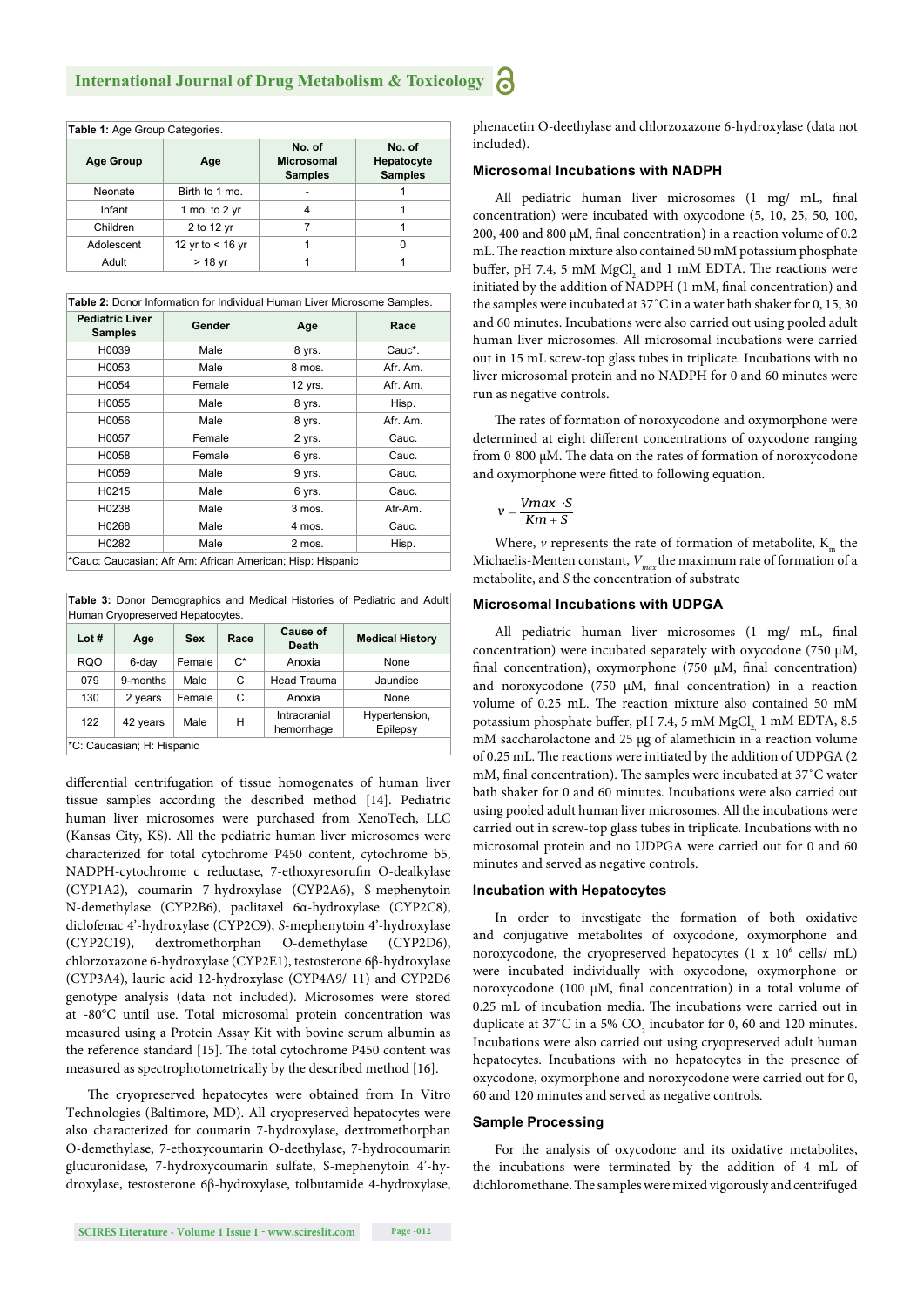| Table 1: Age Group Categories. |                    |                                               |                                        |  |
|--------------------------------|--------------------|-----------------------------------------------|----------------------------------------|--|
| <b>Age Group</b>               | Age                | No. of<br><b>Microsomal</b><br><b>Samples</b> | No. of<br>Hepatocyte<br><b>Samples</b> |  |
| Neonate                        | Birth to 1 mo.     |                                               |                                        |  |
| Infant                         | 1 mo. to 2 $vr$    |                                               |                                        |  |
| Children                       | 2 to 12 yr         |                                               |                                        |  |
| Adolescent                     | 12 yr to $<$ 16 yr |                                               | n                                      |  |
| Adult                          | > 18 yr            |                                               |                                        |  |

| Table 2: Donor Information for Individual Human Liver Microsome Samples. |        |         |          |  |
|--------------------------------------------------------------------------|--------|---------|----------|--|
| <b>Pediatric Liver</b><br><b>Samples</b>                                 | Gender | Age     | Race     |  |
| H0039                                                                    | Male   | 8 yrs.  | Cauc*.   |  |
| H0053                                                                    | Male   | 8 mos.  | Afr. Am. |  |
| H0054                                                                    | Female | 12 yrs. | Afr. Am. |  |
| H0055                                                                    | Male   | 8 yrs.  | Hisp.    |  |
| H0056                                                                    | Male   | 8 yrs.  | Afr. Am. |  |
| H0057                                                                    | Female | 2 yrs.  | Cauc.    |  |
| H0058                                                                    | Female | 6 yrs.  | Cauc.    |  |
| H0059                                                                    | Male   | 9 yrs.  | Cauc.    |  |
| H0215                                                                    | Male   | 6 yrs.  | Cauc.    |  |
| H0238                                                                    | Male   | 3 mos.  | Afr-Am.  |  |
| H0268                                                                    | Male   | 4 mos.  | Cauc.    |  |
| H0282                                                                    | Male   | 2 mos.  | Hisp.    |  |
| $\sim$ $\sim$                                                            |        |         |          |  |

\*Cauc: Caucasian; Afr Am: African American; Hisp: Hispanic

**Table 3:** Donor Demographics and Medical Histories of Pediatric and Adult Human Cryopreserved Hepatocytes.

| Lot#                       | Age      | Sex    | Race  | Cause of<br>Death          | <b>Medical History</b>    |
|----------------------------|----------|--------|-------|----------------------------|---------------------------|
| <b>RQO</b>                 | 6-day    | Female | $C^*$ | Anoxia                     | None                      |
| 079                        | 9-months | Male   | C     | Head Trauma                | Jaundice                  |
| 130                        | 2 years  | Female | C     | Anoxia                     | None                      |
| 122                        | 42 years | Male   | н     | Intracranial<br>hemorrhage | Hypertension,<br>Epilepsy |
| *C: Caucasian; H: Hispanic |          |        |       |                            |                           |

differential centrifugation of tissue homogenates of human liver tissue samples according the described method [14]. Pediatric human liver microsomes were purchased from XenoTech, LLC (Kansas City, KS). All the pediatric human liver microsomes were characterized for total cytochrome P450 content, cytochrome b5, NADPH-cytochrome c reductase, 7-ethoxyresorufin O-dealkylase (CYP1A2), coumarin 7-hydroxylase (CYP2A6), S-mephenytoin N-demethylase (CYP2B6), paclitaxel 6α-hydroxylase (CYP2C8), diclofenac 4'-hydroxylase (CYP2C9), *S*-mephenytoin 4'-hydroxylase (CYP2C19), dextromethorphan O-demethylase (CYP2D6), chlorzoxazone 6-hydroxylase (CYP2E1), testosterone 6β-hydroxylase (CYP3A4), lauric acid 12-hydroxylase (CYP4A9/ 11) and CYP2D6 genotype analysis (data not included). Microsomes were stored at -80°C until use. Total microsomal protein concentration was measured using a Protein Assay Kit with bovine serum albumin as the reference standard [15]. The total cytochrome P450 content was measured as spectrophotometrically by the described method [16].

The cryopreserved hepatocytes were obtained from In Vitro Technologies (Baltimore, MD). All cryopreserved hepatocytes were also characterized for coumarin 7-hydroxylase, dextromethorphan O-demethylase, 7-ethoxycoumarin O-deethylase, 7-hydrocoumarin glucuronidase, 7-hydroxycoumarin sulfate, S-mephenytoin 4'-hydroxylase, testosterone 6β-hydroxylase, tolbutamide 4-hydroxylase,

**SCIRES Literature - Volume 1 Issue 1 - www.scireslit.com Page -012**

phenacetin O-deethylase and chlorzoxazone 6-hydroxylase (data not included).

#### **Microsomal Incubations with NADPH**

All pediatric human liver microsomes (1 mg/ mL, final concentration) were incubated with oxycodone (5, 10, 25, 50, 100, 200, 400 and 800  $\mu$ M, final concentration) in a reaction volume of 0.2 mL. The reaction mixture also contained 50 mM potassium phosphate buffer, pH 7.4, 5 mM  $MgCl<sub>2</sub>$  and 1 mM EDTA. The reactions were initiated by the addition of NADPH (1 mM, final concentration) and the samples were incubated at 37˚C in a water bath shaker for 0, 15, 30 and 60 minutes. Incubations were also carried out using pooled adult human liver microsomes. All microsomal incubations were carried out in 15 mL screw-top glass tubes in triplicate. Incubations with no liver microsomal protein and no NADPH for 0 and 60 minutes were run as negative controls.

The rates of formation of noroxycodone and oxymorphone were determined at eight different concentrations of oxycodone ranging from 0-800  $\mu$ M. The data on the rates of formation of noroxycodone and oxymorphone were fitted to following equation.

$$
v = \frac{Vmax \cdot S}{Km + S}
$$

Where,  $\nu$  represents the rate of formation of metabolite,  $K_m$  the Michaelis-Menten constant,  $V_{\text{max}}$  the maximum rate of formation of a metabolite, and *S* the concentration of substrate

#### **Microsomal Incubations with UDPGA**

All pediatric human liver microsomes (1 mg/ mL, final concentration) were incubated separately with oxycodone (750 μM, final concentration), oxymorphone (750  $\mu$ M, final concentration) and noroxycodone (750 μM, final concentration) in a reaction volume of 0.25 mL. The reaction mixture also contained 50 mM potassium phosphate buffer, pH 7.4, 5 mM MgCl, 1 mM EDTA, 8.5 mM saccharolactone and 25 μg of alamethicin in a reaction volume of 0.25 mL. The reactions were initiated by the addition of UDPGA (2) mM, final concentration). The samples were incubated at 37°C water bath shaker for 0 and 60 minutes. Incubations were also carried out using pooled adult human liver microsomes. All the incubations were carried out in screw-top glass tubes in triplicate. Incubations with no microsomal protein and no UDPGA were carried out for 0 and 60 minutes and served as negative controls.

#### **Incubation with Hepatocytes**

In order to investigate the formation of both oxidative and conjugative metabolites of oxycodone, oxymorphone and noroxycodone, the cryopreserved hepatocytes (1 x 10<sup>6</sup> cells/ mL) were incubated individually with oxycodone, oxymorphone or noroxycodone (100 μM, final concentration) in a total volume of 0.25 mL of incubation media. The incubations were carried out in duplicate at 37°C in a 5%  $CO_2$  incubator for 0, 60 and 120 minutes. Incubations were also carried out using cryopreserved adult human hepatocytes. Incubations with no hepatocytes in the presence of oxycodone, oxymorphone and noroxycodone were carried out for 0, 60 and 120 minutes and served as negative controls.

#### **Sample Processing**

For the analysis of oxycodone and its oxidative metabolites, the incubations were terminated by the addition of 4 mL of dichloromethane. The samples were mixed vigorously and centrifuged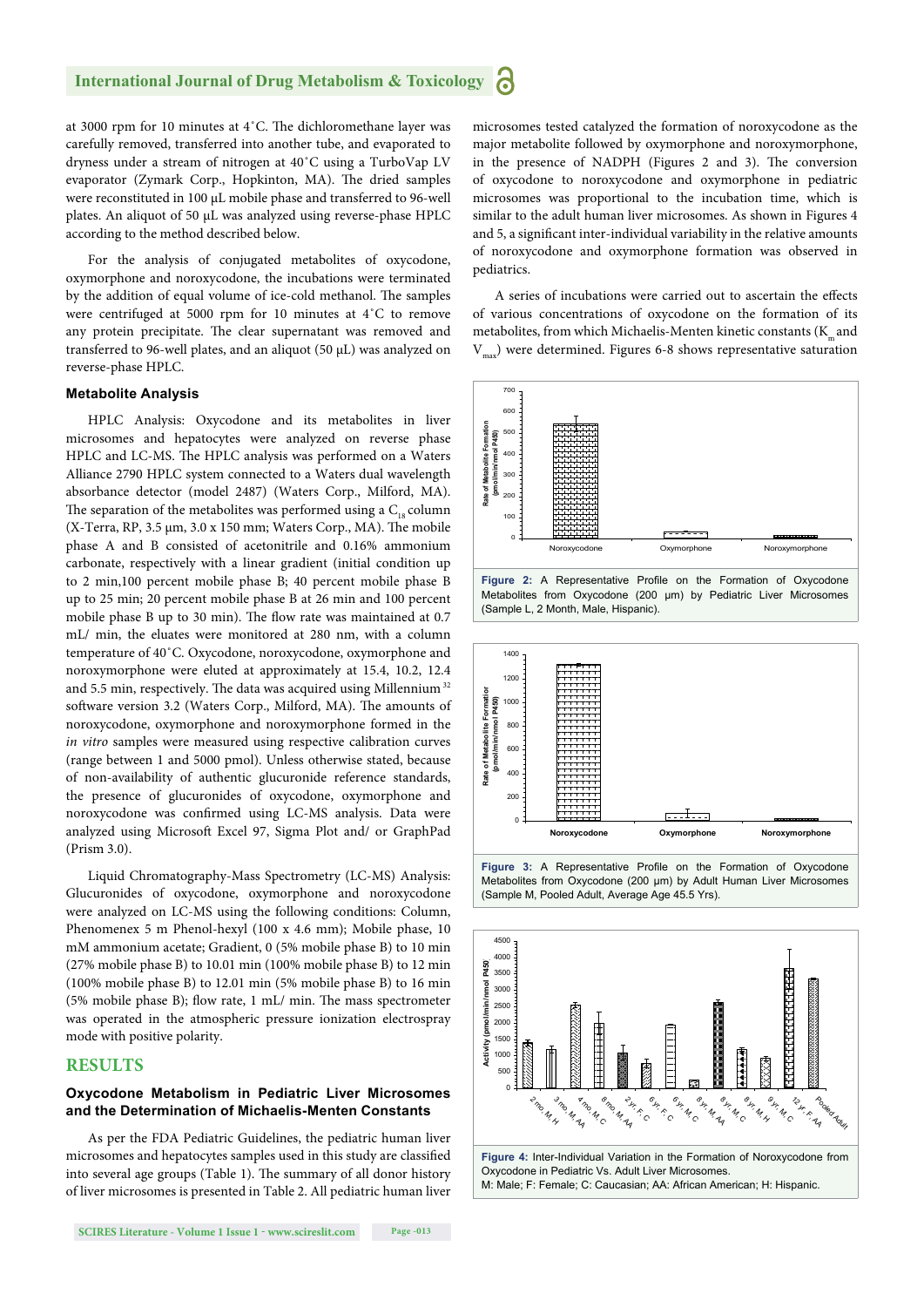at 3000 rpm for 10 minutes at  $4^{\circ}$ C. The dichloromethane layer was carefully removed, transferred into another tube, and evaporated to dryness under a stream of nitrogen at 40˚C using a TurboVap LV evaporator (Zymark Corp., Hopkinton, MA). The dried samples were reconstituted in 100 μL mobile phase and transferred to 96-well plates. An aliquot of 50 μL was analyzed using reverse-phase HPLC according to the method described below.

For the analysis of conjugated metabolites of oxycodone, oxymorphone and noroxycodone, the incubations were terminated by the addition of equal volume of ice-cold methanol. The samples were centrifuged at 5000 rpm for 10 minutes at 4˚C to remove any protein precipitate. The clear supernatant was removed and transferred to 96-well plates, and an aliquot (50 μL) was analyzed on reverse-phase HPLC.

#### **Metabolite Analysis**

HPLC Analysis: Oxycodone and its metabolites in liver microsomes and hepatocytes were analyzed on reverse phase HPLC and LC-MS. The HPLC analysis was performed on a Waters Alliance 2790 HPLC system connected to a Waters dual wavelength absorbance detector (model 2487) (Waters Corp., Milford, MA). The separation of the metabolites was performed using a  $C_{18}$  column  $(X-Trans, RP, 3.5 \mu m, 3.0 \times 150 \mu m; Waters Corp., MA)$ . The mobile phase A and B consisted of acetonitrile and 0.16% ammonium carbonate, respectively with a linear gradient (initial condition up to 2 min,100 percent mobile phase B; 40 percent mobile phase B up to 25 min; 20 percent mobile phase B at 26 min and 100 percent mobile phase B up to 30 min). The flow rate was maintained at 0.7 mL/ min, the eluates were monitored at 280 nm, with a column temperature of 40˚C. Oxycodone, noroxycodone, oxymorphone and noroxymorphone were eluted at approximately at 15.4, 10.2, 12.4 and 5.5 min, respectively. The data was acquired using Millennium  $32$ software version 3.2 (Waters Corp., Milford, MA). The amounts of noroxycodone, oxymorphone and noroxymorphone formed in the *in vitro* samples were measured using respective calibration curves (range between 1 and 5000 pmol). Unless otherwise stated, because of non-availability of authentic glucuronide reference standards, the presence of glucuronides of oxycodone, oxymorphone and noroxycodone was confirmed using LC-MS analysis. Data were analyzed using Microsoft Excel 97, Sigma Plot and/ or GraphPad (Prism 3.0).

Liquid Chromatography-Mass Spectrometry (LC-MS) Analysis: Glucuronides of oxycodone, oxymorphone and noroxycodone were analyzed on LC-MS using the following conditions: Column, Phenomenex 5 m Phenol-hexyl (100 x 4.6 mm); Mobile phase, 10 mM ammonium acetate; Gradient, 0 (5% mobile phase B) to 10 min (27% mobile phase B) to 10.01 min (100% mobile phase B) to 12 min (100% mobile phase B) to 12.01 min (5% mobile phase B) to 16 min (5% mobile phase B); flow rate, 1 mL/ min. The mass spectrometer was operated in the atmospheric pressure ionization electrospray mode with positive polarity.

#### **RESULTS**

#### **Oxycodone Metabolism in Pediatric Liver Microsomes and the Determination of Michaelis-Menten Constants**

As per the FDA Pediatric Guidelines, the pediatric human liver microsomes and hepatocytes samples used in this study are classified into several age groups (Table 1). The summary of all donor history of liver microsomes is presented in Table 2. All pediatric human liver microsomes tested catalyzed the formation of noroxycodone as the major metabolite followed by oxymorphone and noroxymorphone, in the presence of NADPH (Figures 2 and 3). The conversion of oxycodone to noroxycodone and oxymorphone in pediatric microsomes was proportional to the incubation time, which is similar to the adult human liver microsomes. As shown in Figures 4 and 5, a significant inter-individual variability in the relative amounts of noroxycodone and oxymorphone formation was observed in pediatrics.

A series of incubations were carried out to ascertain the effects of various concentrations of oxycodone on the formation of its metabolites, from which Michaelis-Menten kinetic constants  $(K<sub>m</sub>$  and  $V_{mm}$ ) were determined. Figures 6-8 shows representative saturation









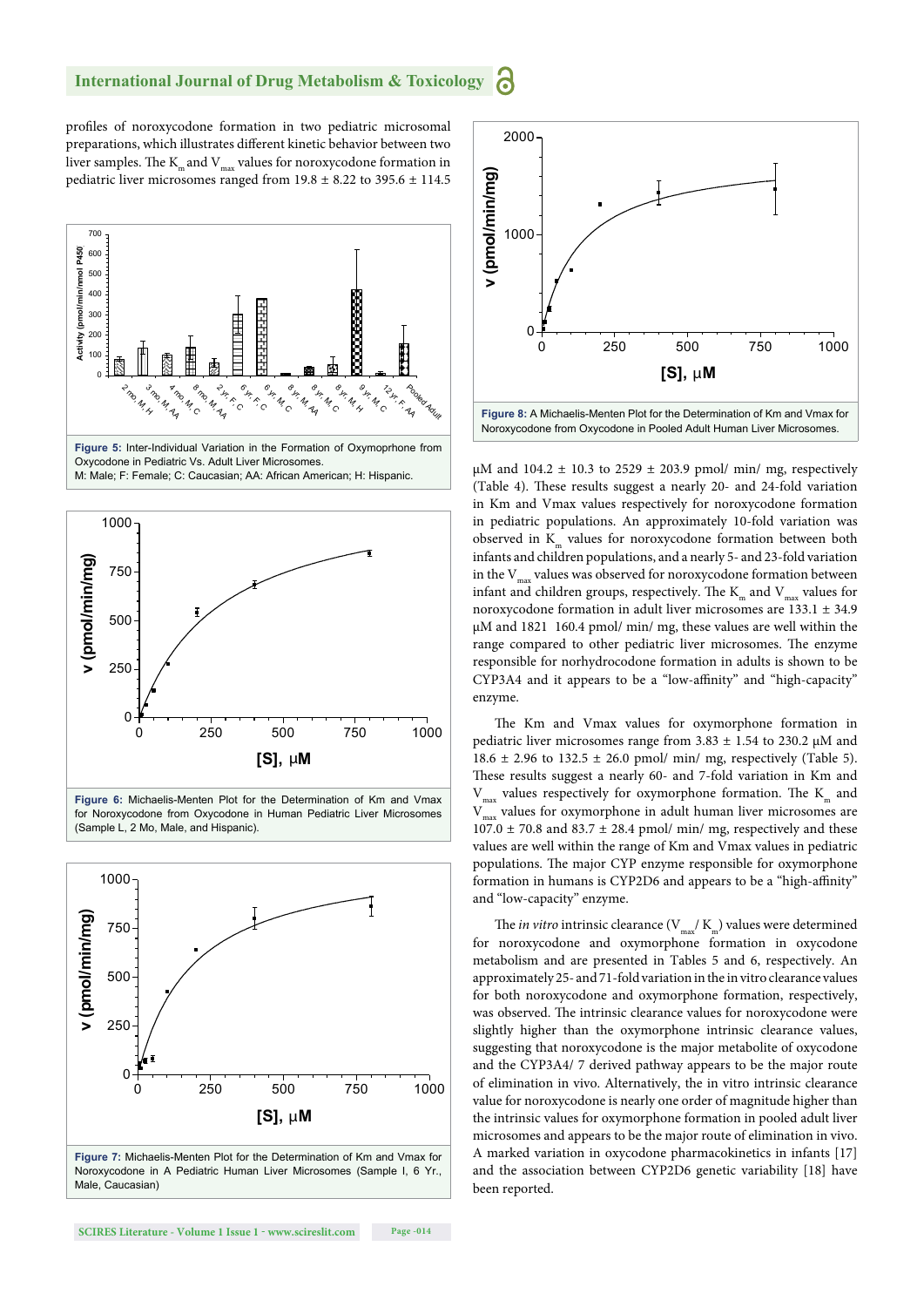profiles of noroxycodone formation in two pediatric microsomal preparations, which illustrates different kinetic behavior between two liver samples. The  $K_m$  and  $V_{mx}$  values for noroxycodone formation in pediatric liver microsomes ranged from 19.8 ± 8.22 to 395.6 ± 114.5











Noroxycodone in A Pediatric Human Liver Microsomes (Sample I, 6 Yr., Male, Caucasian)



μM and  $104.2 \pm 10.3$  to  $2529 \pm 203.9$  pmol/ min/ mg, respectively (Table 4). These results suggest a nearly 20- and 24-fold variation in Km and Vmax values respectively for noroxycodone formation in pediatric populations. An approximately 10-fold variation was observed in  $K<sub>m</sub>$  values for noroxycodone formation between both infants and children populations, and a nearly 5- and 23-fold variation in the  $V_{\text{max}}$  values was observed for noroxycodone formation between infant and children groups, respectively. The  $K_m$  and  $V_{max}$  values for noroxycodone formation in adult liver microsomes are 133.1 ± 34.9 μM and 1821 160.4 pmol/ min/ mg, these values are well within the range compared to other pediatric liver microsomes. The enzyme responsible for norhydrocodone formation in adults is shown to be CYP3A4 and it appears to be a "low-affinity" and "high-capacity" enzyme.

The Km and Vmax values for oxymorphone formation in pediatric liver microsomes range from  $3.83 \pm 1.54$  to 230.2 µM and 18.6  $\pm$  2.96 to 132.5  $\pm$  26.0 pmol/ min/ mg, respectively (Table 5). These results suggest a nearly 60- and 7-fold variation in Km and  $V_{\text{max}}$  values respectively for oxymorphone formation. The  $K_{\text{max}}$  and  $V$  values for oxymorphone in adult human liver microsomes are  $V_{\text{max}}$  values for oxymorphone in adult human liver microsomes are  $107.0 \pm 70.8$  and  $83.7 \pm 28.4$  pmol/ min/ mg, respectively and these values are well within the range of Km and Vmax values in pediatric populations. The major CYP enzyme responsible for oxymorphone formation in humans is CYP2D6 and appears to be a "high-affinity' and "low-capacity" enzyme.

The *in vitro* intrinsic clearance  $(V_{\text{max}}/K_{\text{m}})$  values were determined for noroxycodone and oxymorphone formation in oxycodone metabolism and are presented in Tables 5 and 6, respectively. An approximately 25- and 71-fold variation in the in vitro clearance values for both noroxycodone and oxymorphone formation, respectively, was observed. The intrinsic clearance values for noroxycodone were slightly higher than the oxymorphone intrinsic clearance values, suggesting that noroxycodone is the major metabolite of oxycodone and the CYP3A4/ 7 derived pathway appears to be the major route of elimination in vivo. Alternatively, the in vitro intrinsic clearance value for noroxycodone is nearly one order of magnitude higher than the intrinsic values for oxymorphone formation in pooled adult liver microsomes and appears to be the major route of elimination in vivo. A marked variation in oxycodone pharmacokinetics in infants [17] and the association between CYP2D6 genetic variability [18] have been reported.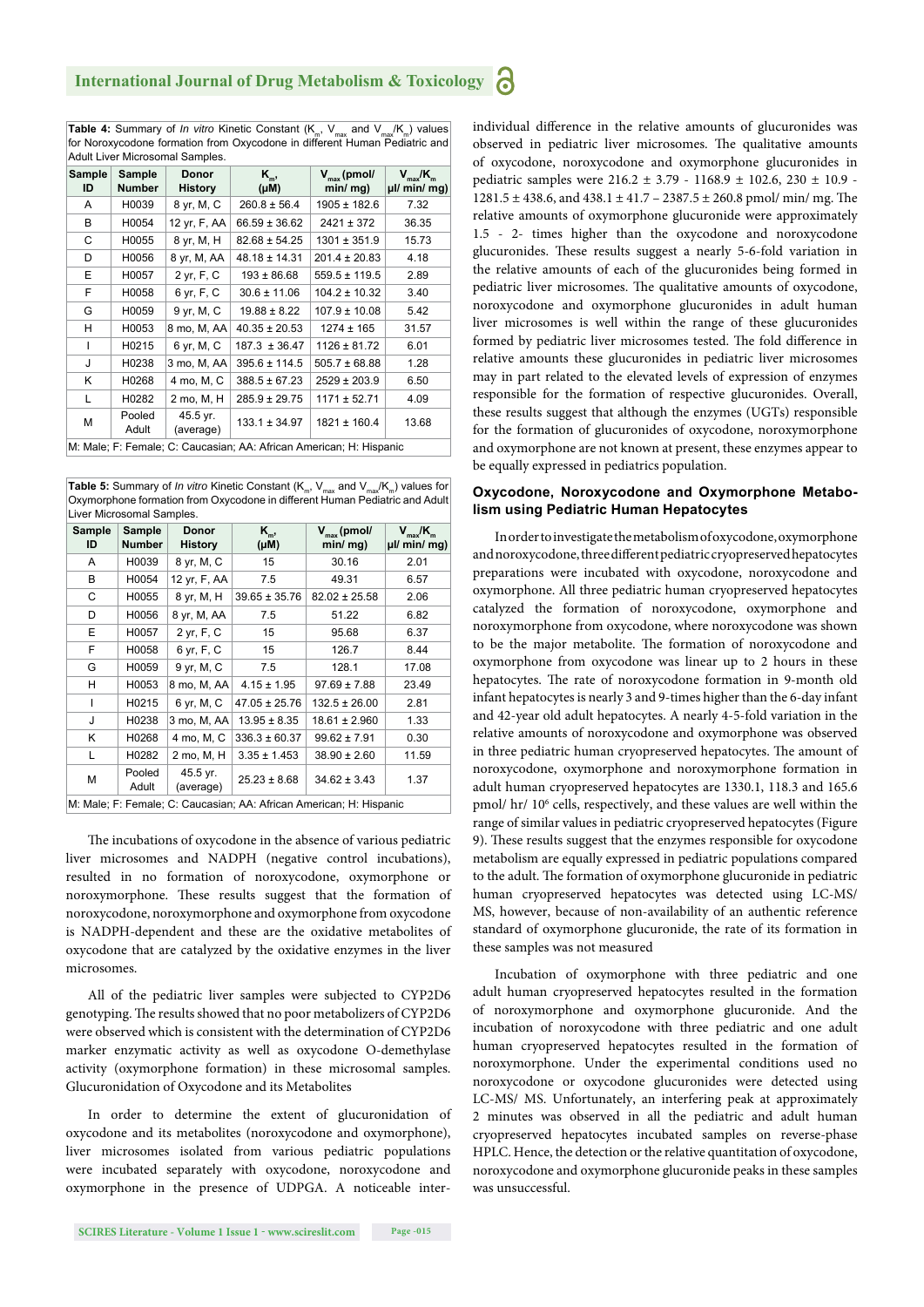**Table 4:** Summary of *In vitro* Kinetic Constant  $(K_m, V_{max}$  and  $V_{max}/K_m)$  values for Noroxycodone formation from Oxycodone in different Human Pediatric and Adult Liver Microsomal Samples.

|                                                                     | , wait Liver imploymer campics. |                                |                   |                                       |                                     |  |  |
|---------------------------------------------------------------------|---------------------------------|--------------------------------|-------------------|---------------------------------------|-------------------------------------|--|--|
| <b>Sample</b><br>ID                                                 | Sample<br>Number                | <b>Donor</b><br><b>History</b> | $K_{m}$<br>(Mu)   | $V_{\text{max}}$ (pmol/<br>$min/mq$ ) | $V_{max}/K_{m}$<br>$\mu$ / min/ mg) |  |  |
| A                                                                   | H0039                           | 8 yr, M, C                     | $260.8 \pm 56.4$  | 1905 ± 182.6                          | 7.32                                |  |  |
| B                                                                   | H0054                           | 12 yr, F, AA                   | $66.59 \pm 36.62$ | $2421 \pm 372$                        | 36.35                               |  |  |
| С                                                                   | H0055                           | 8 yr, M, H                     | $82.68 \pm 54.25$ | $1301 \pm 351.9$                      | 15.73                               |  |  |
| D                                                                   | H0056                           | 8 yr, M, AA                    | $48.18 \pm 14.31$ | $201.4 \pm 20.83$                     | 4.18                                |  |  |
| E                                                                   | H0057                           | 2 yr, F, C                     | $193 \pm 86.68$   | $559.5 \pm 119.5$                     | 2.89                                |  |  |
| F                                                                   | H0058                           | 6 yr, F, C                     | $30.6 \pm 11.06$  | $104.2 \pm 10.32$                     | 3.40                                |  |  |
| G                                                                   | H0059                           | 9 yr, M, C                     | $19.88 \pm 8.22$  | $107.9 \pm 10.08$                     | 5.42                                |  |  |
| н                                                                   | H0053                           | 8 mo, M, AA                    | $40.35 \pm 20.53$ | $1274 \pm 165$                        | 31.57                               |  |  |
| I                                                                   | H0215                           | 6 yr, M, C                     | $187.3 \pm 36.47$ | $1126 \pm 81.72$                      | 6.01                                |  |  |
| J                                                                   | H0238                           | 3 mo, M, AA                    | $395.6 \pm 114.5$ | $505.7 \pm 68.88$                     | 1.28                                |  |  |
| Κ                                                                   | H0268                           | 4 mo, M, C                     | $388.5 \pm 67.23$ | $2529 \pm 203.9$                      | 6.50                                |  |  |
| L                                                                   | H0282                           | 2 mo, M, H                     | $285.9 \pm 29.75$ | $1171 \pm 52.71$                      | 4.09                                |  |  |
| M                                                                   | Pooled<br>Adult                 | 45.5 yr.<br>(average)          | $133.1 \pm 34.97$ | 1821 ± 160.4                          | 13.68                               |  |  |
| M: Male; F: Female; C: Caucasian; AA: African American; H: Hispanic |                                 |                                |                   |                                       |                                     |  |  |

**Table 5:** Summary of *In vitro* Kinetic Constant (K<sub>m</sub>, V<sub>max</sub> and V<sub>max</sub>/K<sub>m</sub>) values for Oxymorphone formation from Oxycodone in different Human Pediatric and Adult Liver Microsomal Samples.

| Sample<br>ID                                                        | Sample<br><b>Number</b> | <b>Donor</b><br><b>History</b> | K <sub>m</sub> ,<br>(µM) | $V_{\text{max}}$ (pmol/<br>$min/mg$ ) | $V_{max}/K_{m}$<br>µl/ min/ mg) |  |
|---------------------------------------------------------------------|-------------------------|--------------------------------|--------------------------|---------------------------------------|---------------------------------|--|
| A                                                                   | H0039                   | 8 yr, M, C                     | 15                       | 30.16                                 | 2.01                            |  |
| B                                                                   | H0054                   | 12 yr, F, AA                   | 7.5                      | 49.31                                 | 6.57                            |  |
| C                                                                   | H0055                   | 8 yr, M, H                     | $39.65 \pm 35.76$        | $82.02 \pm 25.58$                     | 2.06                            |  |
| D                                                                   | H0056                   | 8 yr, M, AA                    | 7.5                      | 51.22                                 | 6.82                            |  |
| E                                                                   | H0057                   | 2 yr, F, C                     | 15                       | 95.68                                 | 6.37                            |  |
| F                                                                   | H0058                   | 6 yr, F, C                     | 15                       | 126.7                                 | 8.44                            |  |
| G                                                                   | H0059                   | 9 yr, M, C                     | 7.5                      | 128.1                                 | 17.08                           |  |
| н                                                                   | H0053                   | 8 mo, M, AA                    | $4.15 \pm 1.95$          | $97.69 \pm 7.88$                      | 23.49                           |  |
| I                                                                   | H0215                   | 6 yr, M, C                     | $47.05 \pm 25.76$        | $132.5 \pm 26.00$                     | 2.81                            |  |
| J                                                                   | H0238                   | 3 mo, M, AA                    | $13.95 \pm 8.35$         | $18.61 \pm 2.960$                     | 1.33                            |  |
| Κ                                                                   | H0268                   | 4 mo, M, C                     | $336.3 \pm 60.37$        | $99.62 \pm 7.91$                      | 0.30                            |  |
| L                                                                   | H0282                   | 2 mo, M, H                     | $3.35 \pm 1.453$         | $38.90 \pm 2.60$                      | 11.59                           |  |
| M                                                                   | Pooled<br>Adult         | 45.5 yr.<br>(average)          | $25.23 \pm 8.68$         | $34.62 \pm 3.43$                      | 1.37                            |  |
| M: Male; F: Female; C: Caucasian; AA: African American; H: Hispanic |                         |                                |                          |                                       |                                 |  |

The incubations of oxycodone in the absence of various pediatric liver microsomes and NADPH (negative control incubations), resulted in no formation of noroxycodone, oxymorphone or noroxymorphone. These results suggest that the formation of noroxycodone, noroxymorphone and oxymorphone from oxycodone is NADPH-dependent and these are the oxidative metabolites of oxycodone that are catalyzed by the oxidative enzymes in the liver microsomes.

All of the pediatric liver samples were subjected to CYP2D6 genotyping. The results showed that no poor metabolizers of CYP2D6 were observed which is consistent with the determination of CYP2D6 marker enzymatic activity as well as oxycodone O-demethylase activity (oxymorphone formation) in these microsomal samples. Glucuronidation of Oxycodone and its Metabolites

In order to determine the extent of glucuronidation of oxycodone and its metabolites (noroxycodone and oxymorphone), liver microsomes isolated from various pediatric populations were incubated separately with oxycodone, noroxycodone and oxymorphone in the presence of UDPGA. A noticeable inter-

observed in pediatric liver microsomes. The qualitative amounts of oxycodone, noroxycodone and oxymorphone glucuronides in pediatric samples were 216.2 ± 3.79 - 1168.9 ± 102.6, 230 ± 10.9 -  $1281.5 \pm 438.6$ , and  $438.1 \pm 41.7 - 2387.5 \pm 260.8$  pmol/ min/ mg. The relative amounts of oxymorphone glucuronide were approximately 1.5 - 2- times higher than the oxycodone and noroxycodone glucuronides. These results suggest a nearly 5-6-fold variation in the relative amounts of each of the glucuronides being formed in pediatric liver microsomes. The qualitative amounts of oxycodone, noroxycodone and oxymorphone glucuronides in adult human liver microsomes is well within the range of these glucuronides formed by pediatric liver microsomes tested. The fold difference in relative amounts these glucuronides in pediatric liver microsomes may in part related to the elevated levels of expression of enzymes responsible for the formation of respective glucuronides. Overall, these results suggest that although the enzymes (UGTs) responsible for the formation of glucuronides of oxycodone, noroxymorphone and oxymorphone are not known at present, these enzymes appear to be equally expressed in pediatrics population.

individual difference in the relative amounts of glucuronides was

#### **Oxycodone, Noroxycodone and Oxymorphone Metabolism using Pediatric Human Hepatocytes**

In order to investigate the metabolism of oxycodone, oxymorphone and noroxycodone, three different pediatric cryopreserved hepatocytes preparations were incubated with oxycodone, noroxycodone and oxymorphone. All three pediatric human cryopreserved hepatocytes catalyzed the formation of noroxycodone, oxymorphone and noroxymorphone from oxycodone, where noroxycodone was shown to be the major metabolite. The formation of noroxycodone and oxymorphone from oxycodone was linear up to 2 hours in these hepatocytes. The rate of noroxycodone formation in 9-month old infant hepatocytes is nearly 3 and 9-times higher than the 6-day infant and 42-year old adult hepatocytes. A nearly 4-5-fold variation in the relative amounts of noroxycodone and oxymorphone was observed in three pediatric human cryopreserved hepatocytes. The amount of noroxycodone, oxymorphone and noroxymorphone formation in adult human cryopreserved hepatocytes are 1330.1, 118.3 and 165.6 pmol/ hr/ 10<sup>6</sup> cells, respectively, and these values are well within the range of similar values in pediatric cryopreserved hepatocytes (Figure 9). These results suggest that the enzymes responsible for oxycodone metabolism are equally expressed in pediatric populations compared to the adult. The formation of oxymorphone glucuronide in pediatric human cryopreserved hepatocytes was detected using LC-MS/ MS, however, because of non-availability of an authentic reference standard of oxymorphone glucuronide, the rate of its formation in these samples was not measured

Incubation of oxymorphone with three pediatric and one adult human cryopreserved hepatocytes resulted in the formation of noroxymorphone and oxymorphone glucuronide. And the incubation of noroxycodone with three pediatric and one adult human cryopreserved hepatocytes resulted in the formation of noroxymorphone. Under the experimental conditions used no noroxycodone or oxycodone glucuronides were detected using LC-MS/ MS. Unfortunately, an interfering peak at approximately 2 minutes was observed in all the pediatric and adult human cryopreserved hepatocytes incubated samples on reverse-phase HPLC. Hence, the detection or the relative quantitation of oxycodone, noroxycodone and oxymorphone glucuronide peaks in these samples was unsuccessful.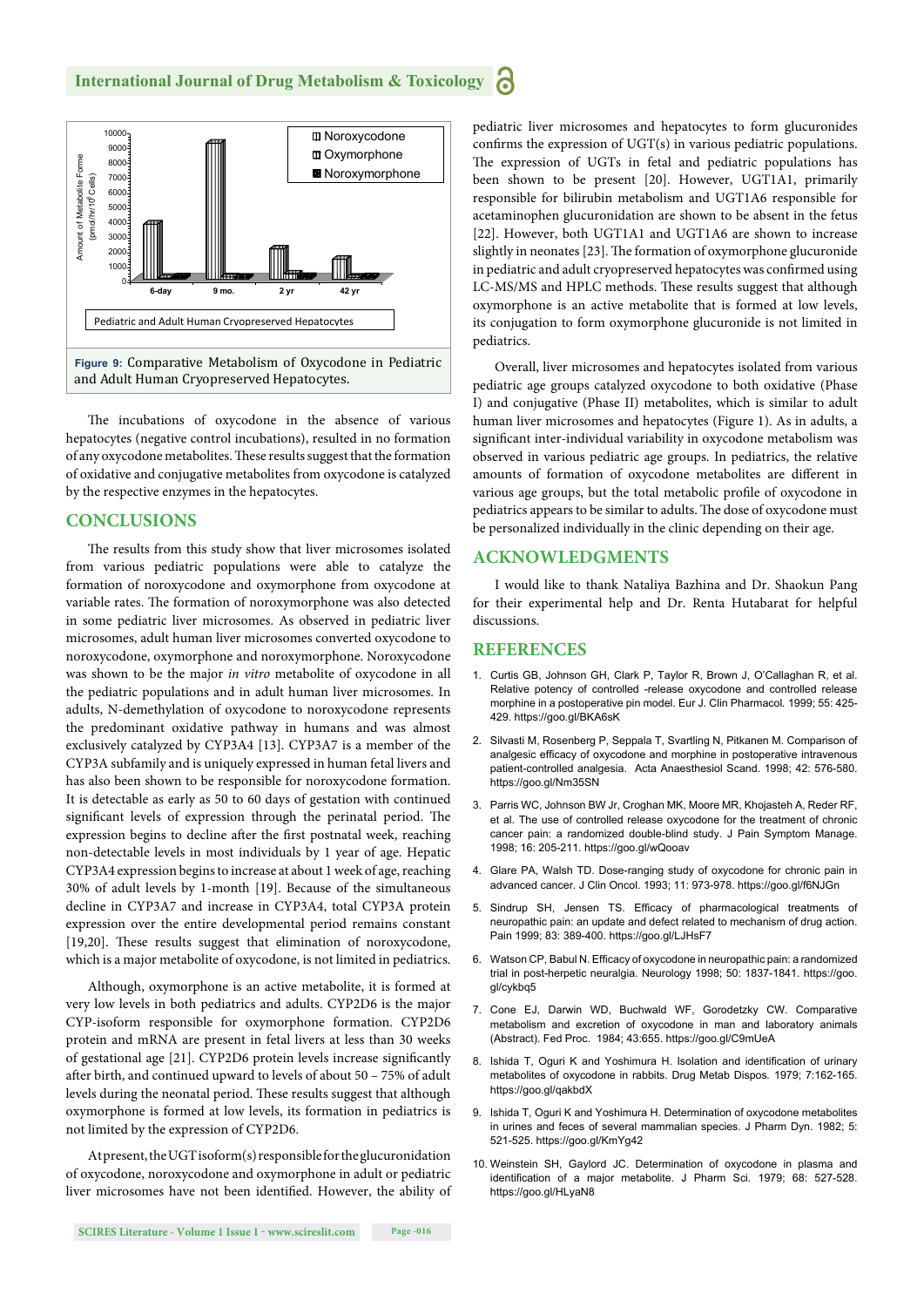

The incubations of oxycodone in the absence of various hepatocytes (negative control incubations), resulted in no formation of any oxycodone metabolites. These results suggest that the formation of oxidative and conjugative metabolites from oxycodone is catalyzed by the respective enzymes in the hepatocytes.

#### **CONCLUSIONS**

The results from this study show that liver microsomes isolated from various pediatric populations were able to catalyze the formation of noroxycodone and oxymorphone from oxycodone at variable rates. The formation of noroxymorphone was also detected in some pediatric liver microsomes. As observed in pediatric liver microsomes, adult human liver microsomes converted oxycodone to noroxycodone, oxymorphone and noroxymorphone. Noroxycodone was shown to be the major *in vitro* metabolite of oxycodone in all the pediatric populations and in adult human liver microsomes. In adults, N-demethylation of oxycodone to noroxycodone represents the predominant oxidative pathway in humans and was almost exclusively catalyzed by CYP3A4 [13]. CYP3A7 is a member of the CYP3A subfamily and is uniquely expressed in human fetal livers and has also been shown to be responsible for noroxycodone formation. It is detectable as early as 50 to 60 days of gestation with continued significant levels of expression through the perinatal period. The expression begins to decline after the first postnatal week, reaching non-detectable levels in most individuals by 1 year of age. Hepatic CYP3A4 expression begins to increase at about 1 week of age, reaching 30% of adult levels by 1-month [19]. Because of the simultaneous decline in CYP3A7 and increase in CYP3A4, total CYP3A protein expression over the entire developmental period remains constant [19,20]. These results suggest that elimination of noroxycodone, which is a major metabolite of oxycodone, is not limited in pediatrics.

Although, oxymorphone is an active metabolite, it is formed at very low levels in both pediatrics and adults. CYP2D6 is the major CYP-isoform responsible for oxymorphone formation. CYP2D6 protein and mRNA are present in fetal livers at less than 30 weeks of gestational age [21]. CYP2D6 protein levels increase significantly after birth, and continued upward to levels of about 50 - 75% of adult levels during the neonatal period. These results suggest that although oxymorphone is formed at low levels, its formation in pediatrics is not limited by the expression of CYP2D6.

At present, the UGT isoform(s) responsible for the glucuronidation of oxycodone, noroxycodone and oxymorphone in adult or pediatric liver microsomes have not been identified. However, the ability of pediatric liver microsomes and hepatocytes to form glucuronides confirms the expression of  $UGT(s)$  in various pediatric populations. The expression of UGTs in fetal and pediatric populations has been shown to be present [20]. However, UGT1A1, primarily responsible for bilirubin metabolism and UGT1A6 responsible for acetaminophen glucuronidation are shown to be absent in the fetus [22]. However, both UGT1A1 and UGT1A6 are shown to increase slightly in neonates [23]. The formation of oxymorphone glucuronide in pediatric and adult cryopreserved hepatocytes was confirmed using LC-MS/MS and HPLC methods. These results suggest that although oxymorphone is an active metabolite that is formed at low levels, its conjugation to form oxymorphone glucuronide is not limited in pediatrics.

Overall, liver microsomes and hepatocytes isolated from various pediatric age groups catalyzed oxycodone to both oxidative (Phase I) and conjugative (Phase II) metabolites, which is similar to adult human liver microsomes and hepatocytes (Figure 1). As in adults, a significant inter-individual variability in oxycodone metabolism was observed in various pediatric age groups. In pediatrics, the relative amounts of formation of oxycodone metabolites are different in various age groups, but the total metabolic profile of oxycodone in pediatrics appears to be similar to adults. The dose of oxycodone must be personalized individually in the clinic depending on their age.

#### **ACKNOWLEDGMENTS**

I would like to thank Nataliya Bazhina and Dr. Shaokun Pang for their experimental help and Dr. Renta Hutabarat for helpful discussions.

#### **REFERENCES**

- 1. Curtis GB, Johnson GH, Clark P, Taylor R, Brown J, O'Callaghan R, et al. Relative potency of controlled -release oxycodone and controlled release morphine in a postoperative pin model. Eur J. Clin Pharmacol*.* 1999; 55: 425- 429. https://goo.gl/BKA6sK
- 2. Silvasti M, Rosenberg P, Seppala T, Svartling N, Pitkanen M. Comparison of analgesic efficacy of oxycodone and morphine in postoperative intravenous patient-controlled analgesia. Acta Anaesthesiol Scand. 1998; 42: 576-580. https://goo.gl/Nm35SN
- 3. Parris WC, Johnson BW Jr, Croghan MK, Moore MR, Khojasteh A, Reder RF, et al. The use of controlled release oxycodone for the treatment of chronic cancer pain: a randomized double-blind study. J Pain Symptom Manage. 1998; 16: 205-211. https://goo.gl/wQooav
- 4. Glare PA, Walsh TD. Dose-ranging study of oxycodone for chronic pain in advanced cancer. J Clin Oncol. 1993; 11: 973-978. https://goo.gl/f6NJGn
- 5. Sindrup SH, Jensen TS. Efficacy of pharmacological treatments of neuropathic pain: an update and defect related to mechanism of drug action. Pain 1999; 83: 389-400. https://goo.gl/LJHsF7
- 6. Watson CP, Babul N. Efficacy of oxycodone in neuropathic pain: a randomized trial in post-herpetic neuralgia. Neurology 1998; 50: 1837-1841. https://goo. gl/cykbq5
- 7. Cone EJ, Darwin WD, Buchwald WF, Gorodetzky CW. Comparative metabolism and excretion of oxycodone in man and laboratory animals (Abstract). Fed Proc. 1984; 43:655. https://goo.gl/C9mUeA
- 8. Ishida T, Oguri K and Yoshimura H. Isolation and identification of urinary metabolites of oxycodone in rabbits. Drug Metab Dispos*.* 1979; 7:162-165. https://goo.gl/qakbdX
- 9. Ishida T, Oguri K and Yoshimura H. Determination of oxycodone metabolites in urines and feces of several mammalian species. J Pharm Dyn. 1982; 5: 521-525. https://goo.gl/KmYg42
- 10. Weinstein SH, Gaylord JC. Determination of oxycodone in plasma and identification of a major metabolite. J Pharm Sci. 1979; 68: 527-528. https://goo.gl/HLyaN8